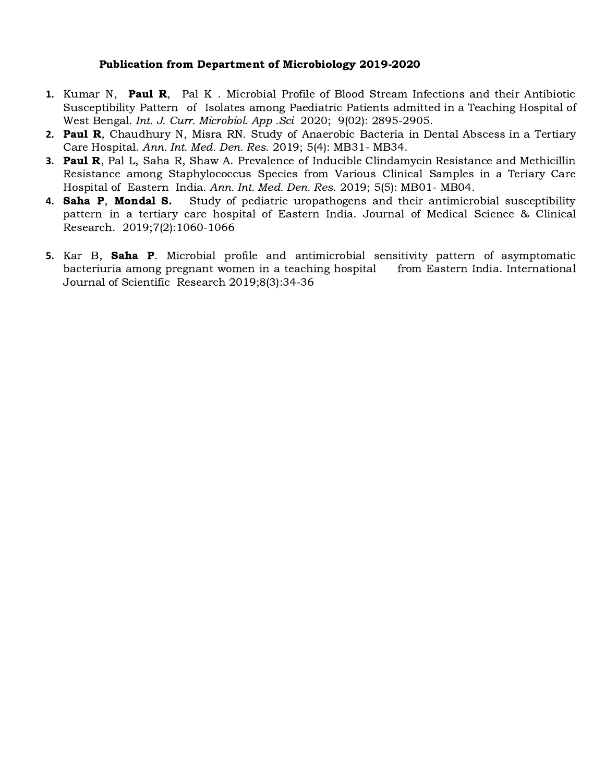## Publication from Department of Microbiology 2019-2020

- **1.** Kumar N, Paul R, Pal K . Microbial Profile of Blood Stream Infections and their Antibiotic Susceptibility Pattern of Isolates among Paediatric Patients admitted in a Teaching Hospital of West Bengal. Int. J. Curr. Microbiol. App .Sci 2020; 9(02): 2895-2905.
- **2.** Paul R, Chaudhury N, Misra RN. Study of Anaerobic Bacteria in Dental Abscess in a Tertiary Care Hospital. Ann. Int. Med. Den. Res. 2019; 5(4): MB31- MB34.
- **3.** Paul R, Pal L, Saha R, Shaw A. Prevalence of Inducible Clindamycin Resistance and Methicillin Resistance among Staphylococcus Species from Various Clinical Samples in a Teriary Care Hospital of Eastern India. Ann. Int. Med. Den. Res. 2019; 5(5): MB01- MB04.
- **4.** Saha P, Mondal S. Study of pediatric uropathogens and their antimicrobial susceptibility pattern in a tertiary care hospital of Eastern India. Journal of Medical Science & Clinical Research. 2019;7(2):1060-1066
- **5.** Kar B, Saha P. Microbial profile and antimicrobial sensitivity pattern of asymptomatic bacteriuria among pregnant women in a teaching hospital from Eastern India. International Journal of Scientific Research 2019;8(3):34-36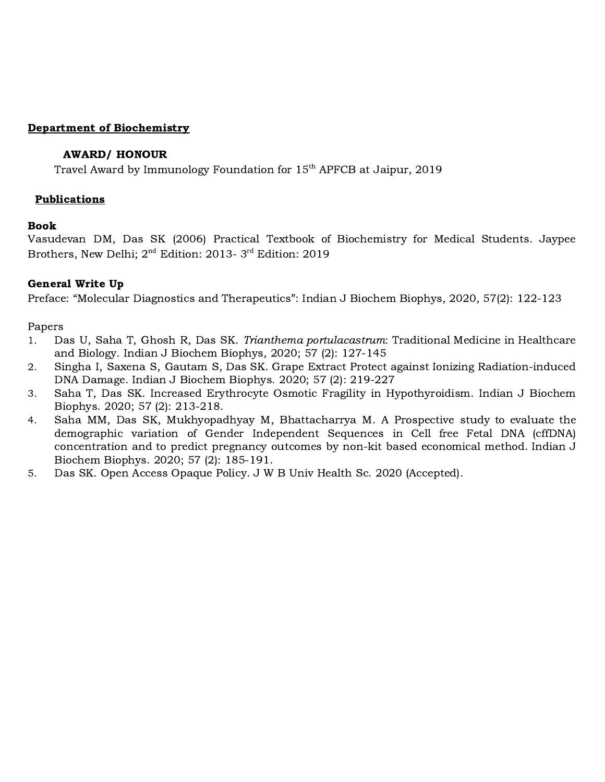## Department of Biochemistry

## AWARD/ HONOUR

Travel Award by Immunology Foundation for 15<sup>th</sup> APFCB at Jaipur, 2019

## Publications

## Book

Vasudevan DM, Das SK (2006) Practical Textbook of Biochemistry for Medical Students. Jaypee Brothers, New Delhi:  $2<sup>nd</sup>$  Edition: 2013- 3<sup>rd</sup> Edition: 2019

## General Write Up

Preface: "Molecular Diagnostics and Therapeutics": Indian J Biochem Biophys, 2020, 57(2): 122-123

## Papers

- 1. Das U, Saha T, Ghosh R, Das SK. Trianthema portulacastrum: Traditional Medicine in Healthcare and Biology. Indian J Biochem Biophys, 2020; 57 (2): 127-145
- 2. Singha I, Saxena S, Gautam S, Das SK. Grape Extract Protect against Ionizing Radiation-induced DNA Damage. Indian J Biochem Biophys. 2020; 57 (2): 219-227
- 3. Saha T, Das SK. Increased Erythrocyte Osmotic Fragility in Hypothyroidism. Indian J Biochem Biophys. 2020; 57 (2): 213-218.
- 4. Saha MM, Das SK, Mukhyopadhyay M, Bhattacharrya M. A Prospective study to evaluate the demographic variation of Gender Independent Sequences in Cell free Fetal DNA (cffDNA) concentration and to predict pregnancy outcomes by non-kit based economical method. Indian J Biochem Biophys. 2020; 57 (2): 185-191.
- 5. Das SK. Open Access Opaque Policy. J W B Univ Health Sc. 2020 (Accepted).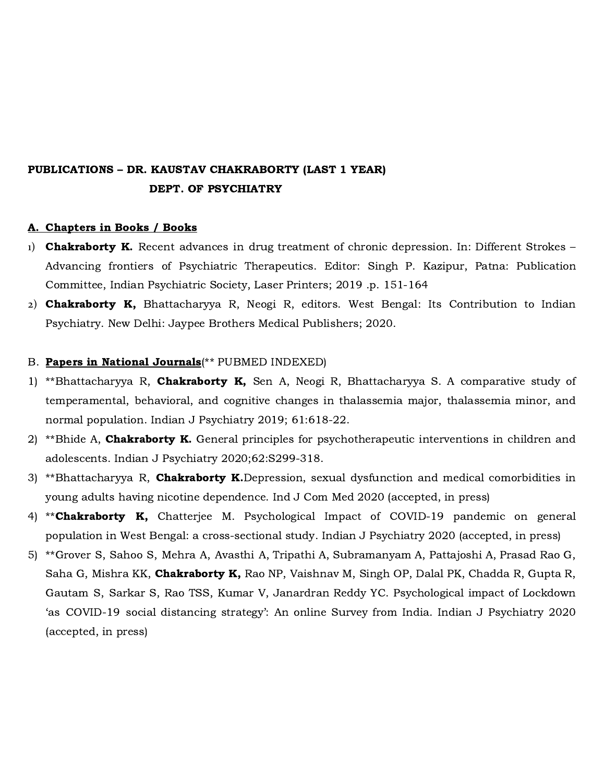# PUBLICATIONS – DR. KAUSTAV CHAKRABORTY (LAST 1 YEAR) DEPT. OF PSYCHIATRY

#### A. Chapters in Books / Books

- 1) **Chakraborty K.** Recent advances in drug treatment of chronic depression. In: Different Strokes Advancing frontiers of Psychiatric Therapeutics. Editor: Singh P. Kazipur, Patna: Publication Committee, Indian Psychiatric Society, Laser Printers; 2019 .p. 151-164
- 2) Chakraborty K, Bhattacharyya R, Neogi R, editors. West Bengal: Its Contribution to Indian Psychiatry. New Delhi: Jaypee Brothers Medical Publishers; 2020.

#### B. Papers in National Journals(\*\* PUBMED INDEXED)

- 1) \*\*Bhattacharyya R, Chakraborty K, Sen A, Neogi R, Bhattacharyya S. A comparative study of temperamental, behavioral, and cognitive changes in thalassemia major, thalassemia minor, and normal population. Indian J Psychiatry 2019; 61:618-22.
- 2) \*\*Bhide A, Chakraborty K. General principles for psychotherapeutic interventions in children and adolescents. Indian J Psychiatry 2020;62:S299-318.
- 3) \*\*Bhattacharyya R, Chakraborty K.Depression, sexual dysfunction and medical comorbidities in young adults having nicotine dependence. Ind J Com Med 2020 (accepted, in press)
- 4) \*\*Chakraborty K, Chatterjee M. Psychological Impact of COVID-19 pandemic on general population in West Bengal: a cross-sectional study. Indian J Psychiatry 2020 (accepted, in press)
- 5) \*\*Grover S, Sahoo S, Mehra A, Avasthi A, Tripathi A, Subramanyam A, Pattajoshi A, Prasad Rao G, Saha G, Mishra KK, Chakraborty K, Rao NP, Vaishnav M, Singh OP, Dalal PK, Chadda R, Gupta R, Gautam S, Sarkar S, Rao TSS, Kumar V, Janardran Reddy YC. Psychological impact of Lockdown 'as COVID-19 social distancing strategy': An online Survey from India. Indian J Psychiatry 2020 (accepted, in press)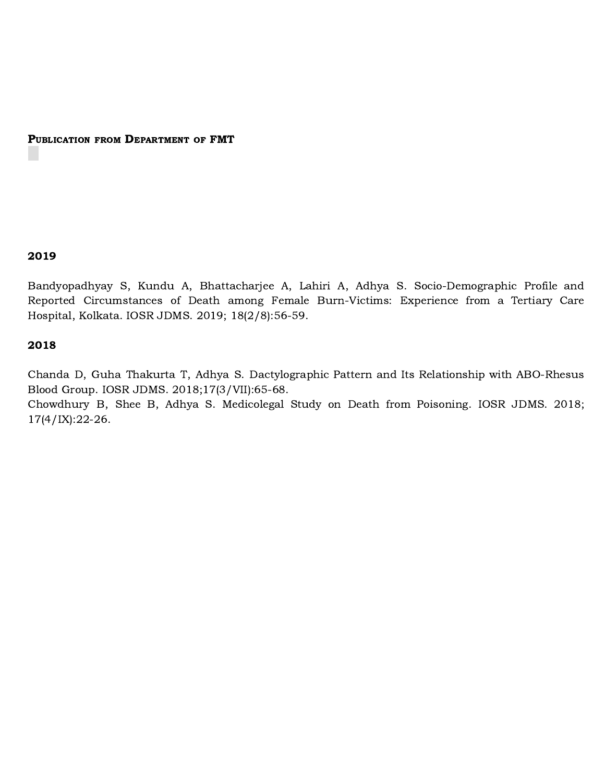PUBLICATION FROM DEPARTMENT OF FMT

#### 2019

Bandyopadhyay S, Kundu A, Bhattacharjee A, Lahiri A, Adhya S. Socio-Demographic Profile and Reported Circumstances of Death among Female Burn-Victims: Experience from a Tertiary Care Hospital, Kolkata. IOSR JDMS. 2019; 18(2/8):56-59.

#### 2018

Chanda D, Guha Thakurta T, Adhya S. Dactylographic Pattern and Its Relationship with ABO-Rhesus Blood Group. IOSR JDMS. 2018;17(3/VII):65-68. Chowdhury B, Shee B, Adhya S. Medicolegal Study on Death from Poisoning. IOSR JDMS. 2018;

17(4/IX):22-26.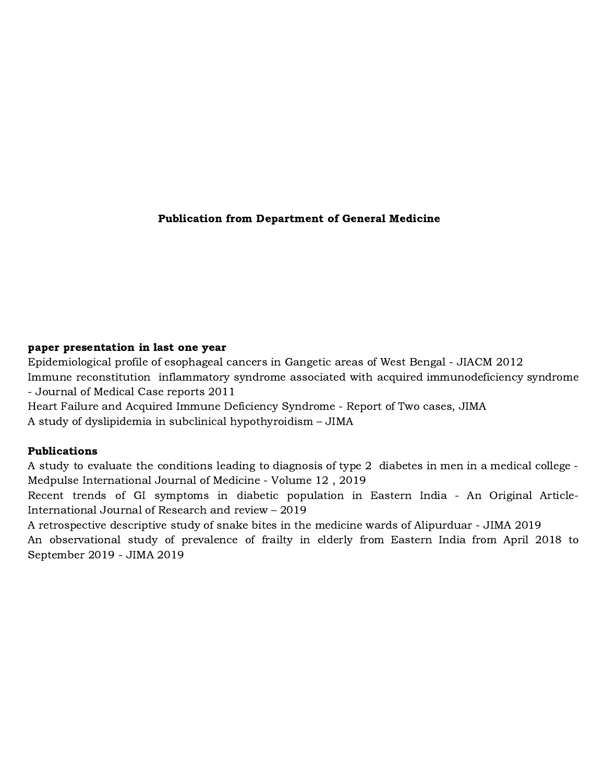## Publication from Department of General Medicine

## paper presentation in last one year

Epidemiological profile of esophageal cancers in Gangetic areas of West Bengal - JIACM 2012 Immune reconstitution inflammatory syndrome associated with acquired immunodeficiency syndrome - Journal of Medical Case reports 2011

Heart Failure and Acquired Immune Deficiency Syndrome - Report of Two cases, JIMA A study of dyslipidemia in subclinical hypothyroidism – JIMA

## Publications

A study to evaluate the conditions leading to diagnosis of type 2 diabetes in men in a medical college - Medpulse International Journal of Medicine - Volume 12 , 2019

Recent trends of GI symptoms in diabetic population in Eastern India - An Original Article-International Journal of Research and review – 2019

A retrospective descriptive study of snake bites in the medicine wards of Alipurduar - JIMA 2019 An observational study of prevalence of frailty in elderly from Eastern India from April 2018 to September 2019 - JIMA 2019